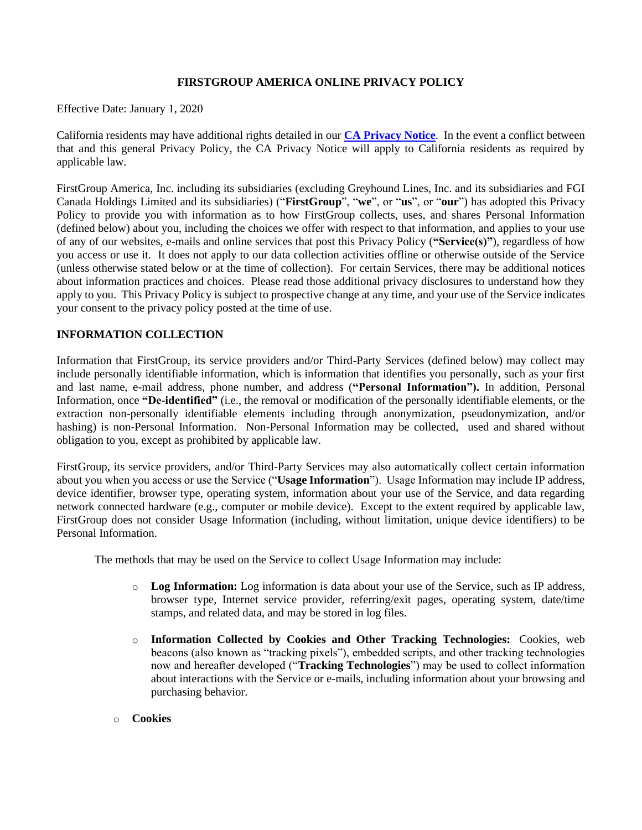# **FIRSTGROUP AMERICA ONLINE PRIVACY POLICY**

Effective Date: January 1, 2020

California residents may have additional rights detailed in our **CA Privacy Notice**. In the event a conflict between that and this general Privacy Policy, the CA Privacy Notice will apply to California residents as required by applicable law.

FirstGroup America, Inc. including its subsidiaries (excluding Greyhound Lines, Inc. and its subsidiaries and FGI Canada Holdings Limited and its subsidiaries) ("**FirstGroup**", "**we**", or "**us**", or "**our**") has adopted this Privacy Policy to provide you with information as to how FirstGroup collects, uses, and shares Personal Information (defined below) about you, including the choices we offer with respect to that information, and applies to your use of any of our websites, e-mails and online services that post this Privacy Policy (**"Service(s)"**), regardless of how you access or use it. It does not apply to our data collection activities offline or otherwise outside of the Service (unless otherwise stated below or at the time of collection). For certain Services, there may be additional notices about information practices and choices. Please read those additional privacy disclosures to understand how they apply to you. This Privacy Policy is subject to prospective change at any time, and your use of the Service indicates your consent to the privacy policy posted at the time of use.

# **INFORMATION COLLECTION**

Information that FirstGroup, its service providers and/or Third-Party Services (defined below) may collect may include personally identifiable information, which is information that identifies you personally, such as your first and last name, e-mail address, phone number, and address (**"Personal Information").** In addition, Personal Information, once **"De**-**identified"** (i.e., the removal or modification of the personally identifiable elements, or the extraction non-personally identifiable elements including through anonymization, pseudonymization, and/or hashing) is non-Personal Information. Non-Personal Information may be collected, used and shared without obligation to you, except as prohibited by applicable law.

FirstGroup, its service providers, and/or Third-Party Services may also automatically collect certain information about you when you access or use the Service ("**Usage Information**"). Usage Information may include IP address, device identifier, browser type, operating system, information about your use of the Service, and data regarding network connected hardware (e.g., computer or mobile device). Except to the extent required by applicable law, FirstGroup does not consider Usage Information (including, without limitation, unique device identifiers) to be Personal Information.

The methods that may be used on the Service to collect Usage Information may include:

- o **Log Information:** Log information is data about your use of the Service, such as IP address, browser type, Internet service provider, referring/exit pages, operating system, date/time stamps, and related data, and may be stored in log files.
- o **Information Collected by Cookies and Other Tracking Technologies:** Cookies, web beacons (also known as "tracking pixels"), embedded scripts, and other tracking technologies now and hereafter developed ("**Tracking Technologies**") may be used to collect information about interactions with the Service or e-mails, including information about your browsing and purchasing behavior.
- o **Cookies**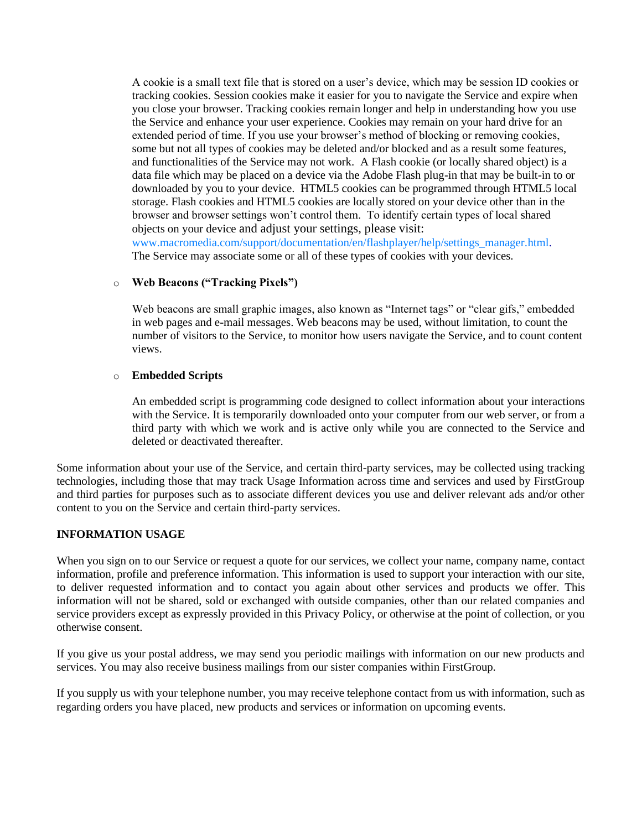A cookie is a small text file that is stored on a user's device, which may be session ID cookies or tracking cookies. Session cookies make it easier for you to navigate the Service and expire when you close your browser. Tracking cookies remain longer and help in understanding how you use the Service and enhance your user experience. Cookies may remain on your hard drive for an extended period of time. If you use your browser's method of blocking or removing cookies, some but not all types of cookies may be deleted and/or blocked and as a result some features, and functionalities of the Service may not work. A Flash cookie (or locally shared object) is a data file which may be placed on a device via the Adobe Flash plug-in that may be built-in to or downloaded by you to your device. HTML5 cookies can be programmed through HTML5 local storage. Flash cookies and HTML5 cookies are locally stored on your device other than in the browser and browser settings won't control them. To identify certain types of local shared objects on your device and adjust your settings, please visit: [www.macromedia.com/support/documentation/en/flashplayer/help/settings\\_manager.html](http://www.macromedia.com/support/documentation/en/flashplayer/help/settings_manager.html).

The Service may associate some or all of these types of cookies with your devices.

### o **Web Beacons ("Tracking Pixels")**

Web beacons are small graphic images, also known as "Internet tags" or "clear gifs," embedded in web pages and e-mail messages. Web beacons may be used, without limitation, to count the number of visitors to the Service, to monitor how users navigate the Service, and to count content views.

#### o **Embedded Scripts**

An embedded script is programming code designed to collect information about your interactions with the Service. It is temporarily downloaded onto your computer from our web server, or from a third party with which we work and is active only while you are connected to the Service and deleted or deactivated thereafter.

Some information about your use of the Service, and certain third-party services, may be collected using tracking technologies, including those that may track Usage Information across time and services and used by FirstGroup and third parties for purposes such as to associate different devices you use and deliver relevant ads and/or other content to you on the Service and certain third-party services.

#### **INFORMATION USAGE**

When you sign on to our Service or request a quote for our services, we collect your name, company name, contact information, profile and preference information. This information is used to support your interaction with our site, to deliver requested information and to contact you again about other services and products we offer. This information will not be shared, sold or exchanged with outside companies, other than our related companies and service providers except as expressly provided in this Privacy Policy, or otherwise at the point of collection, or you otherwise consent.

If you give us your postal address, we may send you periodic mailings with information on our new products and services. You may also receive business mailings from our sister companies within FirstGroup.

If you supply us with your telephone number, you may receive telephone contact from us with information, such as regarding orders you have placed, new products and services or information on upcoming events.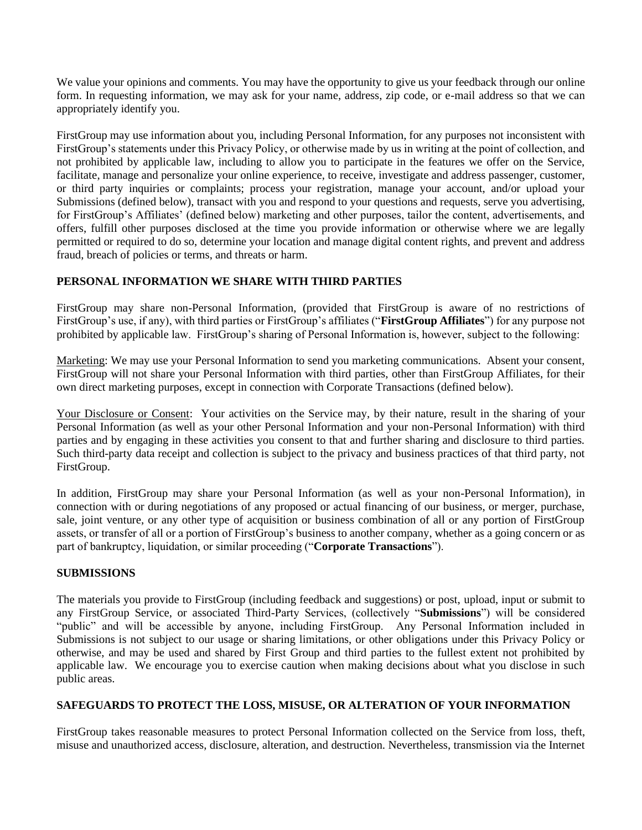We value your opinions and comments. You may have the opportunity to give us your feedback through our online form. In requesting information, we may ask for your name, address, zip code, or e-mail address so that we can appropriately identify you.

FirstGroup may use information about you, including Personal Information, for any purposes not inconsistent with FirstGroup's statements under this Privacy Policy, or otherwise made by us in writing at the point of collection, and not prohibited by applicable law, including to allow you to participate in the features we offer on the Service, facilitate, manage and personalize your online experience, to receive, investigate and address passenger, customer, or third party inquiries or complaints; process your registration, manage your account, and/or upload your Submissions (defined below), transact with you and respond to your questions and requests, serve you advertising, for FirstGroup's Affiliates' (defined below) marketing and other purposes, tailor the content, advertisements, and offers, fulfill other purposes disclosed at the time you provide information or otherwise where we are legally permitted or required to do so, determine your location and manage digital content rights, and prevent and address fraud, breach of policies or terms, and threats or harm.

# **PERSONAL INFORMATION WE SHARE WITH THIRD PARTIES**

FirstGroup may share non-Personal Information, (provided that FirstGroup is aware of no restrictions of FirstGroup's use, if any), with third parties or FirstGroup's affiliates ("**FirstGroup Affiliates**") for any purpose not prohibited by applicable law. FirstGroup's sharing of Personal Information is, however, subject to the following:

Marketing: We may use your Personal Information to send you marketing communications. Absent your consent, FirstGroup will not share your Personal Information with third parties, other than FirstGroup Affiliates, for their own direct marketing purposes, except in connection with Corporate Transactions (defined below).

Your Disclosure or Consent: Your activities on the Service may, by their nature, result in the sharing of your Personal Information (as well as your other Personal Information and your non-Personal Information) with third parties and by engaging in these activities you consent to that and further sharing and disclosure to third parties. Such third-party data receipt and collection is subject to the privacy and business practices of that third party, not FirstGroup.

In addition, FirstGroup may share your Personal Information (as well as your non-Personal Information), in connection with or during negotiations of any proposed or actual financing of our business, or merger, purchase, sale, joint venture, or any other type of acquisition or business combination of all or any portion of FirstGroup assets, or transfer of all or a portion of FirstGroup's business to another company, whether as a going concern or as part of bankruptcy, liquidation, or similar proceeding ("**Corporate Transactions**").

# **SUBMISSIONS**

The materials you provide to FirstGroup (including feedback and suggestions) or post, upload, input or submit to any FirstGroup Service, or associated Third-Party Services, (collectively "**Submissions**") will be considered "public" and will be accessible by anyone, including FirstGroup. Any Personal Information included in Submissions is not subject to our usage or sharing limitations, or other obligations under this Privacy Policy or otherwise, and may be used and shared by First Group and third parties to the fullest extent not prohibited by applicable law. We encourage you to exercise caution when making decisions about what you disclose in such public areas.

### **SAFEGUARDS TO PROTECT THE LOSS, MISUSE, OR ALTERATION OF YOUR INFORMATION**

FirstGroup takes reasonable measures to protect Personal Information collected on the Service from loss, theft, misuse and unauthorized access, disclosure, alteration, and destruction. Nevertheless, transmission via the Internet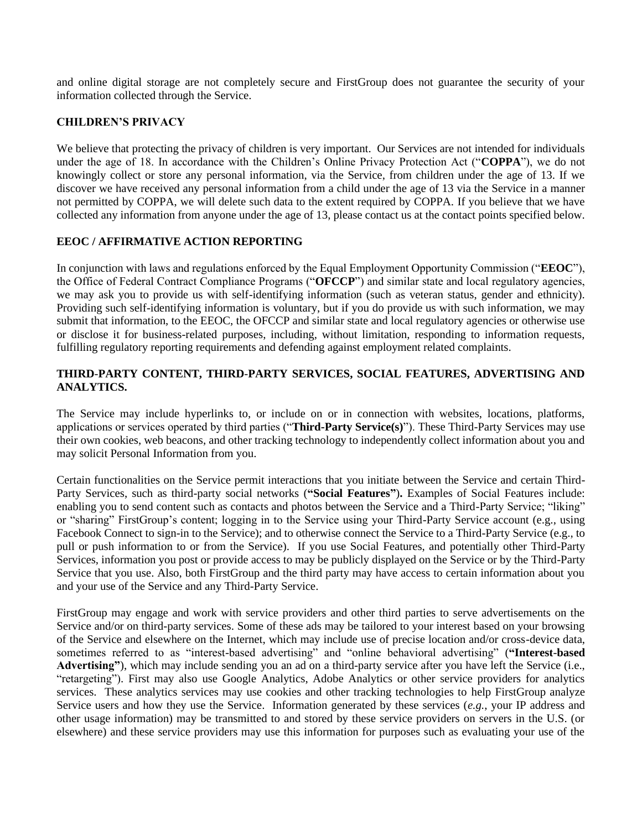and online digital storage are not completely secure and FirstGroup does not guarantee the security of your information collected through the Service.

### **CHILDREN'S PRIVACY**

We believe that protecting the privacy of children is very important. Our Services are not intended for individuals under the age of 18. In accordance with the Children's Online Privacy Protection Act ("**COPPA**"), we do not knowingly collect or store any personal information, via the Service, from children under the age of 13. If we discover we have received any personal information from a child under the age of 13 via the Service in a manner not permitted by COPPA, we will delete such data to the extent required by COPPA. If you believe that we have collected any information from anyone under the age of 13, please contact us at the contact points specified below.

# **EEOC / AFFIRMATIVE ACTION REPORTING**

In conjunction with laws and regulations enforced by the Equal Employment Opportunity Commission ("**EEOC**"), the Office of Federal Contract Compliance Programs ("**OFCCP**") and similar state and local regulatory agencies, we may ask you to provide us with self-identifying information (such as veteran status, gender and ethnicity). Providing such self-identifying information is voluntary, but if you do provide us with such information, we may submit that information, to the EEOC, the OFCCP and similar state and local regulatory agencies or otherwise use or disclose it for business-related purposes, including, without limitation, responding to information requests, fulfilling regulatory reporting requirements and defending against employment related complaints.

# **THIRD**-**PARTY CONTENT, THIRD**-**PARTY SERVICES, SOCIAL FEATURES, ADVERTISING AND ANALYTICS.**

The Service may include hyperlinks to, or include on or in connection with websites, locations, platforms, applications or services operated by third parties ("**Third-Party Service(s)**"). These Third-Party Services may use their own cookies, web beacons, and other tracking technology to independently collect information about you and may solicit Personal Information from you.

Certain functionalities on the Service permit interactions that you initiate between the Service and certain Third-Party Services, such as third-party social networks (**"Social Features"**)**.** Examples of Social Features include: enabling you to send content such as contacts and photos between the Service and a Third-Party Service; "liking" or "sharing" FirstGroup's content; logging in to the Service using your Third-Party Service account (e.g., using Facebook Connect to sign-in to the Service); and to otherwise connect the Service to a Third-Party Service (e.g., to pull or push information to or from the Service). If you use Social Features, and potentially other Third-Party Services, information you post or provide access to may be publicly displayed on the Service or by the Third-Party Service that you use. Also, both FirstGroup and the third party may have access to certain information about you and your use of the Service and any Third-Party Service.

FirstGroup may engage and work with service providers and other third parties to serve advertisements on the Service and/or on third-party services. Some of these ads may be tailored to your interest based on your browsing of the Service and elsewhere on the Internet, which may include use of precise location and/or cross-device data, sometimes referred to as "interest-based advertising" and "online behavioral advertising" (**"Interest**-**based Advertising"**), which may include sending you an ad on a third-party service after you have left the Service (i.e., "retargeting"). First may also use Google Analytics, Adobe Analytics or other service providers for analytics services. These analytics services may use cookies and other tracking technologies to help FirstGroup analyze Service users and how they use the Service. Information generated by these services (*e.g.*, your IP address and other usage information) may be transmitted to and stored by these service providers on servers in the U.S. (or elsewhere) and these service providers may use this information for purposes such as evaluating your use of the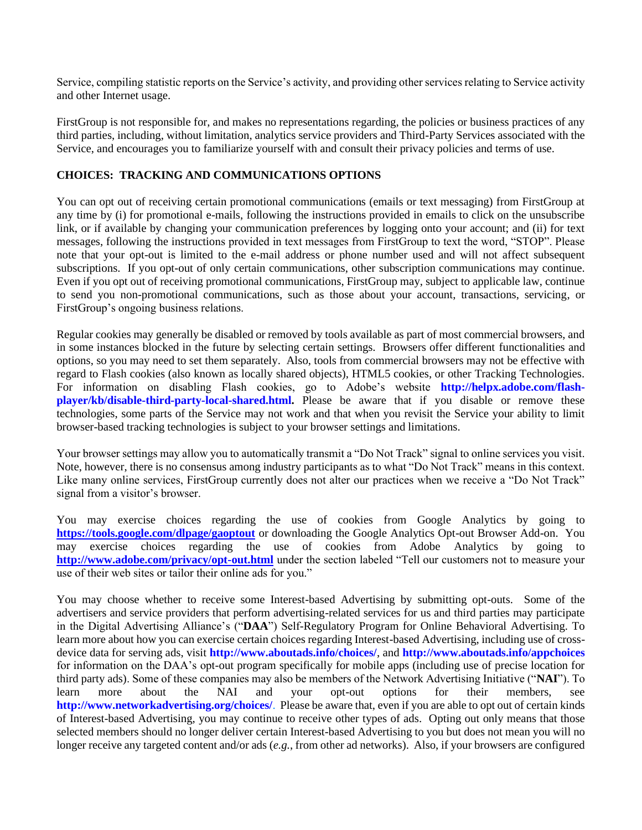Service, compiling statistic reports on the Service's activity, and providing other services relating to Service activity and other Internet usage.

FirstGroup is not responsible for, and makes no representations regarding, the policies or business practices of any third parties, including, without limitation, analytics service providers and Third-Party Services associated with the Service, and encourages you to familiarize yourself with and consult their privacy policies and terms of use.

# **CHOICES: TRACKING AND COMMUNICATIONS OPTIONS**

You can opt out of receiving certain promotional communications (emails or text messaging) from FirstGroup at any time by (i) for promotional e-mails, following the instructions provided in emails to click on the unsubscribe link, or if available by changing your communication preferences by logging onto your account; and (ii) for text messages, following the instructions provided in text messages from FirstGroup to text the word, "STOP". Please note that your opt-out is limited to the e-mail address or phone number used and will not affect subsequent subscriptions. If you opt-out of only certain communications, other subscription communications may continue. Even if you opt out of receiving promotional communications, FirstGroup may, subject to applicable law, continue to send you non-promotional communications, such as those about your account, transactions, servicing, or FirstGroup's ongoing business relations.

Regular cookies may generally be disabled or removed by tools available as part of most commercial browsers, and in some instances blocked in the future by selecting certain settings. Browsers offer different functionalities and options, so you may need to set them separately. Also, tools from commercial browsers may not be effective with regard to Flash cookies (also known as locally shared objects), HTML5 cookies, or other Tracking Technologies. For information on disabling Flash cookies, go to Adobe's website **[http://helpx.adobe.com/flash](http://helpx.adobe.com/flash-player/kb/disable-third-party-local-shared.html)[player/kb/disable-third-party-local-shared.html.](http://helpx.adobe.com/flash-player/kb/disable-third-party-local-shared.html)** Please be aware that if you disable or remove these technologies, some parts of the Service may not work and that when you revisit the Service your ability to limit browser-based tracking technologies is subject to your browser settings and limitations.

Your browser settings may allow you to automatically transmit a "Do Not Track" signal to online services you visit. Note, however, there is no consensus among industry participants as to what "Do Not Track" means in this context. Like many online services, FirstGroup currently does not alter our practices when we receive a "Do Not Track" signal from a visitor's browser.

You may exercise choices regarding the use of cookies from Google Analytics by going to **<https://tools.google.com/dlpage/gaoptout>** or downloading the Google Analytics Opt-out Browser Add-on. You may exercise choices regarding the use of cookies from Adobe Analytics by going to **http://www.adobe.com/privacy/opt-out.html** under the section labeled "Tell our customers not to measure your use of their web sites or tailor their online ads for you."

You may choose whether to receive some Interest-based Advertising by submitting opt-outs. Some of the advertisers and service providers that perform advertising-related services for us and third parties may participate in the Digital Advertising Alliance's ("**DAA**") Self-Regulatory Program for Online Behavioral Advertising. To learn more about how you can exercise certain choices regarding Interest-based Advertising, including use of crossdevice data for serving ads, visit **<http://www.aboutads.info/choices/>**, and **<http://www.aboutads.info/appchoices>** for information on the DAA's opt-out program specifically for mobile apps (including use of precise location for third party ads). Some of these companies may also be members of the Network Advertising Initiative ("**NAI**"). To learn more about the NAI and your opt-out options for their members, see **http://www.networkadvertising.org/choices/**. Please be aware that, even if you are able to opt out of certain kinds of Interest-based Advertising, you may continue to receive other types of ads. Opting out only means that those selected members should no longer deliver certain Interest-based Advertising to you but does not mean you will no longer receive any targeted content and/or ads (*e.g.*, from other ad networks). Also, if your browsers are configured